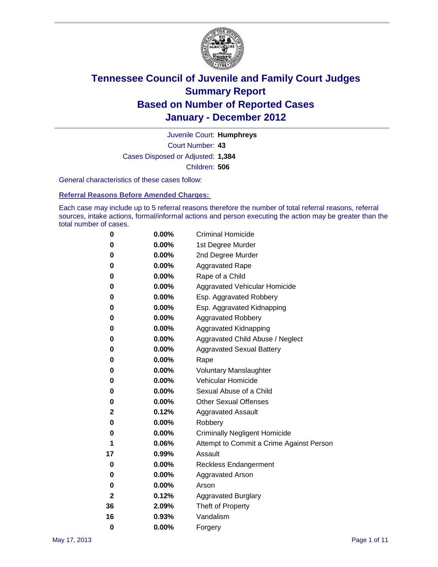

Court Number: **43** Juvenile Court: **Humphreys** Cases Disposed or Adjusted: **1,384** Children: **506**

General characteristics of these cases follow:

**Referral Reasons Before Amended Charges:** 

Each case may include up to 5 referral reasons therefore the number of total referral reasons, referral sources, intake actions, formal/informal actions and person executing the action may be greater than the total number of cases.

| 0  | 0.00%    | <b>Criminal Homicide</b>                 |
|----|----------|------------------------------------------|
| 0  | 0.00%    | 1st Degree Murder                        |
| 0  | 0.00%    | 2nd Degree Murder                        |
| 0  | 0.00%    | <b>Aggravated Rape</b>                   |
| 0  | 0.00%    | Rape of a Child                          |
| 0  | 0.00%    | Aggravated Vehicular Homicide            |
| 0  | 0.00%    | Esp. Aggravated Robbery                  |
| 0  | 0.00%    | Esp. Aggravated Kidnapping               |
| 0  | 0.00%    | <b>Aggravated Robbery</b>                |
| 0  | 0.00%    | Aggravated Kidnapping                    |
| 0  | 0.00%    | Aggravated Child Abuse / Neglect         |
| 0  | $0.00\%$ | <b>Aggravated Sexual Battery</b>         |
| 0  | 0.00%    | Rape                                     |
| 0  | 0.00%    | <b>Voluntary Manslaughter</b>            |
| 0  | 0.00%    | Vehicular Homicide                       |
| 0  | 0.00%    | Sexual Abuse of a Child                  |
| 0  | 0.00%    | <b>Other Sexual Offenses</b>             |
| 2  | 0.12%    | <b>Aggravated Assault</b>                |
| 0  | $0.00\%$ | Robbery                                  |
| 0  | 0.00%    | <b>Criminally Negligent Homicide</b>     |
| 1  | 0.06%    | Attempt to Commit a Crime Against Person |
| 17 | 0.99%    | Assault                                  |
| 0  | 0.00%    | <b>Reckless Endangerment</b>             |
| 0  | 0.00%    | <b>Aggravated Arson</b>                  |
| 0  | 0.00%    | Arson                                    |
| 2  | 0.12%    | <b>Aggravated Burglary</b>               |
| 36 | 2.09%    | Theft of Property                        |
| 16 | 0.93%    | Vandalism                                |
| 0  | 0.00%    | Forgery                                  |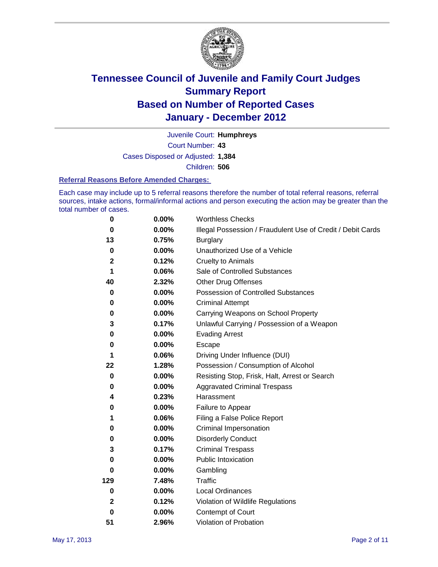

Court Number: **43** Juvenile Court: **Humphreys** Cases Disposed or Adjusted: **1,384** Children: **506**

#### **Referral Reasons Before Amended Charges:**

Each case may include up to 5 referral reasons therefore the number of total referral reasons, referral sources, intake actions, formal/informal actions and person executing the action may be greater than the total number of cases.

| $\pmb{0}$   | 0.00%    | <b>Worthless Checks</b>                                     |
|-------------|----------|-------------------------------------------------------------|
| 0           | 0.00%    | Illegal Possession / Fraudulent Use of Credit / Debit Cards |
| 13          | 0.75%    | <b>Burglary</b>                                             |
| $\bf{0}$    | $0.00\%$ | Unauthorized Use of a Vehicle                               |
| 2           | 0.12%    | <b>Cruelty to Animals</b>                                   |
| 1           | 0.06%    | Sale of Controlled Substances                               |
| 40          | 2.32%    | <b>Other Drug Offenses</b>                                  |
| $\mathbf 0$ | 0.00%    | Possession of Controlled Substances                         |
| 0           | $0.00\%$ | <b>Criminal Attempt</b>                                     |
| 0           | 0.00%    | Carrying Weapons on School Property                         |
| 3           | 0.17%    | Unlawful Carrying / Possession of a Weapon                  |
| 0           | $0.00\%$ | <b>Evading Arrest</b>                                       |
| 0           | 0.00%    | Escape                                                      |
| 1           | 0.06%    | Driving Under Influence (DUI)                               |
| 22          | 1.28%    | Possession / Consumption of Alcohol                         |
| 0           | 0.00%    | Resisting Stop, Frisk, Halt, Arrest or Search               |
| 0           | $0.00\%$ | <b>Aggravated Criminal Trespass</b>                         |
| 4           | 0.23%    | Harassment                                                  |
| 0           | 0.00%    | Failure to Appear                                           |
| 1           | 0.06%    | Filing a False Police Report                                |
| 0           | 0.00%    | Criminal Impersonation                                      |
| 0           | $0.00\%$ | <b>Disorderly Conduct</b>                                   |
| 3           | 0.17%    | <b>Criminal Trespass</b>                                    |
| $\bf{0}$    | 0.00%    | Public Intoxication                                         |
| 0           | $0.00\%$ | Gambling                                                    |
| 129         | 7.48%    | Traffic                                                     |
| 0           | $0.00\%$ | <b>Local Ordinances</b>                                     |
| 2           | 0.12%    | Violation of Wildlife Regulations                           |
| 0           | $0.00\%$ | Contempt of Court                                           |
| 51          | 2.96%    | Violation of Probation                                      |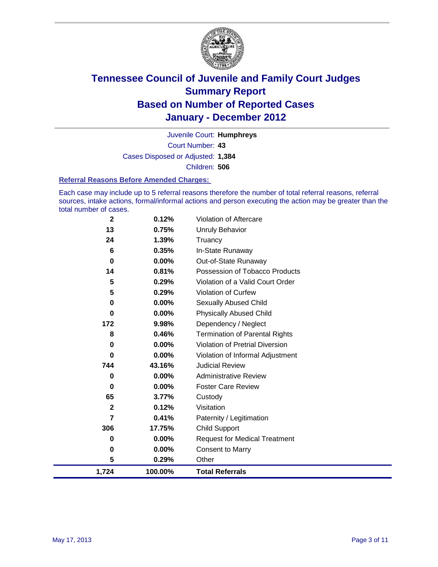

Court Number: **43** Juvenile Court: **Humphreys** Cases Disposed or Adjusted: **1,384** Children: **506**

#### **Referral Reasons Before Amended Charges:**

Each case may include up to 5 referral reasons therefore the number of total referral reasons, referral sources, intake actions, formal/informal actions and person executing the action may be greater than the total number of cases.

| $\mathbf 2$  | 0.12%    | Violation of Aftercare                 |
|--------------|----------|----------------------------------------|
| 13           | 0.75%    | Unruly Behavior                        |
| 24           | 1.39%    | Truancy                                |
| 6            | 0.35%    | In-State Runaway                       |
| 0            | 0.00%    | Out-of-State Runaway                   |
| 14           | 0.81%    | Possession of Tobacco Products         |
| 5            | 0.29%    | Violation of a Valid Court Order       |
| 5            | 0.29%    | Violation of Curfew                    |
| 0            | $0.00\%$ | Sexually Abused Child                  |
| 0            | 0.00%    | <b>Physically Abused Child</b>         |
| 172          | 9.98%    | Dependency / Neglect                   |
| 8            | 0.46%    | <b>Termination of Parental Rights</b>  |
| 0            | $0.00\%$ | <b>Violation of Pretrial Diversion</b> |
| 0            | 0.00%    | Violation of Informal Adjustment       |
| 744          | 43.16%   | <b>Judicial Review</b>                 |
| 0            | $0.00\%$ | <b>Administrative Review</b>           |
| 0            | $0.00\%$ | <b>Foster Care Review</b>              |
| 65           | 3.77%    | Custody                                |
| $\mathbf{2}$ | 0.12%    | Visitation                             |
| 7            | 0.41%    | Paternity / Legitimation               |
| 306          | 17.75%   | <b>Child Support</b>                   |
| 0            | $0.00\%$ | <b>Request for Medical Treatment</b>   |
| 0            | 0.00%    | <b>Consent to Marry</b>                |
| 5            | 0.29%    | Other                                  |
| 1,724        | 100.00%  | <b>Total Referrals</b>                 |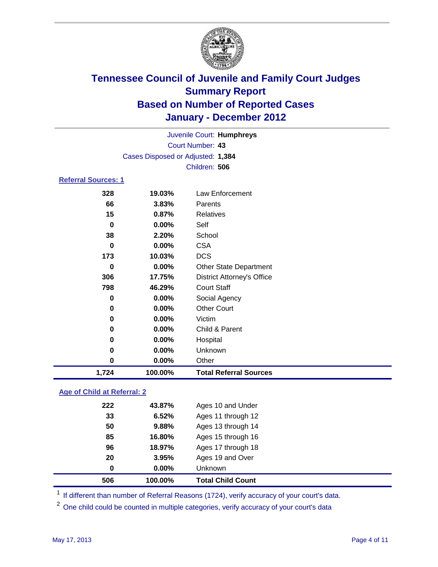

|                         |                                   | Juvenile Court: Humphreys         |  |  |  |  |
|-------------------------|-----------------------------------|-----------------------------------|--|--|--|--|
| <b>Court Number: 43</b> |                                   |                                   |  |  |  |  |
|                         | Cases Disposed or Adjusted: 1,384 |                                   |  |  |  |  |
|                         |                                   | Children: 506                     |  |  |  |  |
| Referral Sources: 1     |                                   |                                   |  |  |  |  |
| 328                     | 19.03%                            | Law Enforcement                   |  |  |  |  |
| 66                      | $3.83\%$                          | Parents                           |  |  |  |  |
| 15                      | 0.87%                             | <b>Relatives</b>                  |  |  |  |  |
| 0                       | 0.00%                             | Self                              |  |  |  |  |
| 38                      | 2.20%                             | School                            |  |  |  |  |
| 0                       | $0.00\%$                          | <b>CSA</b>                        |  |  |  |  |
| 173                     | 10.03%                            | <b>DCS</b>                        |  |  |  |  |
| 0                       | $0.00\%$                          | Other State Department            |  |  |  |  |
| 306                     | 17.75%                            | <b>District Attorney's Office</b> |  |  |  |  |
| 798                     | 46.29%                            | <b>Court Staff</b>                |  |  |  |  |
| 0                       | 0.00%                             | Social Agency                     |  |  |  |  |
| 0                       | 0.00%                             | <b>Other Court</b>                |  |  |  |  |
| 0                       | $0.00\%$                          | Victim                            |  |  |  |  |
| 0                       | $0.00\%$                          | Child & Parent                    |  |  |  |  |
| 0                       | 0.00%                             | Hospital                          |  |  |  |  |
| 0                       | 0.00%                             | Unknown                           |  |  |  |  |

### **Age of Child at Referral: 2**

| 506 | 100.00%  | <b>Total Child Count</b> |
|-----|----------|--------------------------|
| 0   | $0.00\%$ | <b>Unknown</b>           |
| 20  | 3.95%    | Ages 19 and Over         |
| 96  | 18.97%   | Ages 17 through 18       |
| 85  | 16.80%   | Ages 15 through 16       |
| 50  | 9.88%    | Ages 13 through 14       |
| 33  | 6.52%    | Ages 11 through 12       |
| 222 | 43.87%   | Ages 10 and Under        |
|     |          |                          |

<sup>1</sup> If different than number of Referral Reasons (1724), verify accuracy of your court's data.

<sup>2</sup> One child could be counted in multiple categories, verify accuracy of your court's data

**0.00%** Other

**1,724 100.00% Total Referral Sources**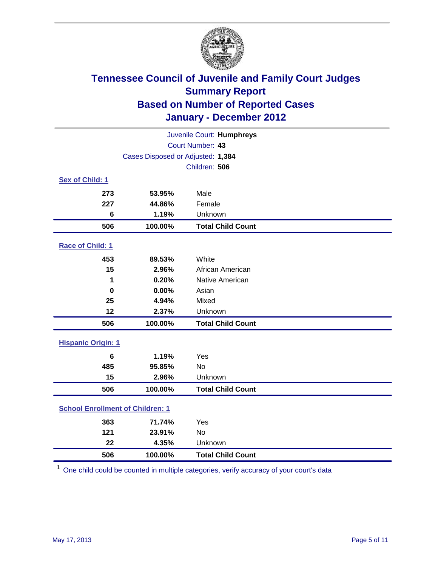

| Juvenile Court: Humphreys               |                                   |                          |  |  |
|-----------------------------------------|-----------------------------------|--------------------------|--|--|
|                                         | Court Number: 43                  |                          |  |  |
|                                         | Cases Disposed or Adjusted: 1,384 |                          |  |  |
|                                         |                                   | Children: 506            |  |  |
| Sex of Child: 1                         |                                   |                          |  |  |
| 273                                     | 53.95%                            | Male                     |  |  |
| 227                                     | 44.86%                            | Female                   |  |  |
| $6\phantom{1}$                          | 1.19%                             | Unknown                  |  |  |
| 506                                     | 100.00%                           | <b>Total Child Count</b> |  |  |
| Race of Child: 1                        |                                   |                          |  |  |
| 453                                     | 89.53%                            | White                    |  |  |
| 15                                      | 2.96%                             | African American         |  |  |
| 1                                       | 0.20%                             | Native American          |  |  |
| $\bf{0}$                                | 0.00%                             | Asian                    |  |  |
| 25                                      | 4.94%                             | Mixed                    |  |  |
| 12                                      | 2.37%                             | Unknown                  |  |  |
| 506                                     | 100.00%                           | <b>Total Child Count</b> |  |  |
| <b>Hispanic Origin: 1</b>               |                                   |                          |  |  |
| 6                                       | 1.19%                             | Yes                      |  |  |
| 485                                     | 95.85%                            | No                       |  |  |
| 15                                      | 2.96%                             | Unknown                  |  |  |
| 506                                     | 100.00%                           | <b>Total Child Count</b> |  |  |
| <b>School Enrollment of Children: 1</b> |                                   |                          |  |  |
| 363                                     | 71.74%                            | Yes                      |  |  |
| 121                                     | 23.91%                            | <b>No</b>                |  |  |
| 22                                      | 4.35%                             | Unknown                  |  |  |
| 506                                     | 100.00%                           | <b>Total Child Count</b> |  |  |

One child could be counted in multiple categories, verify accuracy of your court's data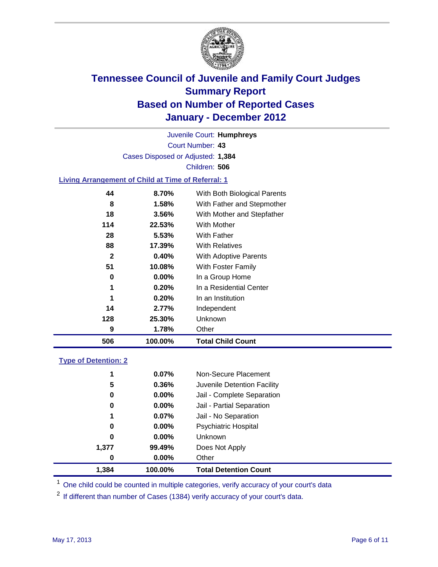

Court Number: **43** Juvenile Court: **Humphreys** Cases Disposed or Adjusted: **1,384** Children: **506**

### **Living Arrangement of Child at Time of Referral: 1**

| 506 | 100.00%  | <b>Total Child Count</b>     |
|-----|----------|------------------------------|
| 9   | 1.78%    | Other                        |
| 128 | 25.30%   | Unknown                      |
| 14  | 2.77%    | Independent                  |
| 1   | 0.20%    | In an Institution            |
| 1   | 0.20%    | In a Residential Center      |
| 0   | $0.00\%$ | In a Group Home              |
| 51  | 10.08%   | With Foster Family           |
| 2   | 0.40%    | With Adoptive Parents        |
| 88  | 17.39%   | <b>With Relatives</b>        |
| 28  | 5.53%    | With Father                  |
| 114 | 22.53%   | <b>With Mother</b>           |
| 18  | 3.56%    | With Mother and Stepfather   |
| 8   | 1.58%    | With Father and Stepmother   |
| 44  | 8.70%    | With Both Biological Parents |
|     |          |                              |

### **Type of Detention: 2**

| 1,384 | 100.00%  | <b>Total Detention Count</b> |  |
|-------|----------|------------------------------|--|
| 0     | $0.00\%$ | Other                        |  |
| 1,377 | 99.49%   | Does Not Apply               |  |
| 0     | $0.00\%$ | <b>Unknown</b>               |  |
| 0     | 0.00%    | <b>Psychiatric Hospital</b>  |  |
| 1     | 0.07%    | Jail - No Separation         |  |
| 0     | $0.00\%$ | Jail - Partial Separation    |  |
| 0     | $0.00\%$ | Jail - Complete Separation   |  |
| 5     | 0.36%    | Juvenile Detention Facility  |  |
| 1     | 0.07%    | Non-Secure Placement         |  |
|       |          |                              |  |

<sup>1</sup> One child could be counted in multiple categories, verify accuracy of your court's data

<sup>2</sup> If different than number of Cases (1384) verify accuracy of your court's data.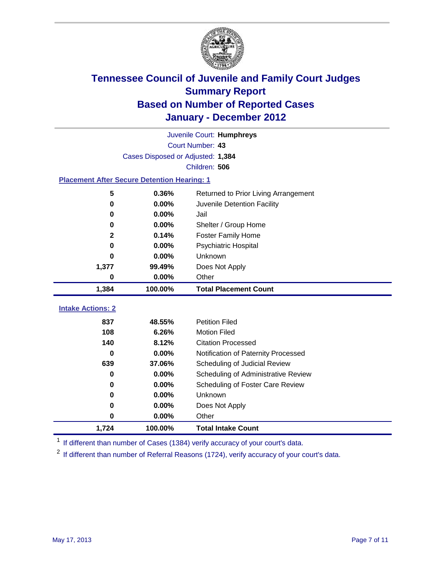

|                                                    | Juvenile Court: Humphreys         |                                             |  |  |  |
|----------------------------------------------------|-----------------------------------|---------------------------------------------|--|--|--|
|                                                    | Court Number: 43                  |                                             |  |  |  |
|                                                    | Cases Disposed or Adjusted: 1,384 |                                             |  |  |  |
|                                                    |                                   | Children: 506                               |  |  |  |
| <b>Placement After Secure Detention Hearing: 1</b> |                                   |                                             |  |  |  |
| 5                                                  | 0.36%                             | Returned to Prior Living Arrangement        |  |  |  |
| $\bf{0}$                                           | 0.00%                             | Juvenile Detention Facility                 |  |  |  |
| 0                                                  | 0.00%                             | Jail                                        |  |  |  |
| $\bf{0}$                                           | 0.00%                             | Shelter / Group Home                        |  |  |  |
| 2                                                  | 0.14%                             | <b>Foster Family Home</b>                   |  |  |  |
| $\bf{0}$                                           | 0.00%                             | <b>Psychiatric Hospital</b>                 |  |  |  |
| 0                                                  | 0.00%                             | Unknown                                     |  |  |  |
| 1,377                                              | 99.49%                            | Does Not Apply                              |  |  |  |
| $\pmb{0}$                                          | 0.00%                             | Other                                       |  |  |  |
| 1,384                                              | 100.00%                           | <b>Total Placement Count</b>                |  |  |  |
| <b>Intake Actions: 2</b>                           |                                   |                                             |  |  |  |
| 837                                                | 48.55%                            | <b>Petition Filed</b>                       |  |  |  |
| 108                                                | 6.26%                             | <b>Motion Filed</b>                         |  |  |  |
| 140                                                | 8.12%                             | <b>Citation Processed</b>                   |  |  |  |
| 0                                                  | 0.00%                             |                                             |  |  |  |
| 639                                                | 37.06%                            | Notification of Paternity Processed         |  |  |  |
| $\bf{0}$                                           | 0.00%                             | Scheduling of Judicial Review               |  |  |  |
|                                                    |                                   | Scheduling of Administrative Review         |  |  |  |
| 0<br>$\bf{0}$                                      | 0.00%<br>0.00%                    | Scheduling of Foster Care Review<br>Unknown |  |  |  |
|                                                    |                                   |                                             |  |  |  |
| $\bf{0}$                                           | 0.00%                             | Does Not Apply                              |  |  |  |
| 0                                                  | 0.00%                             | Other                                       |  |  |  |
| 1,724                                              | 100.00%                           | <b>Total Intake Count</b>                   |  |  |  |

<sup>1</sup> If different than number of Cases (1384) verify accuracy of your court's data.

<sup>2</sup> If different than number of Referral Reasons (1724), verify accuracy of your court's data.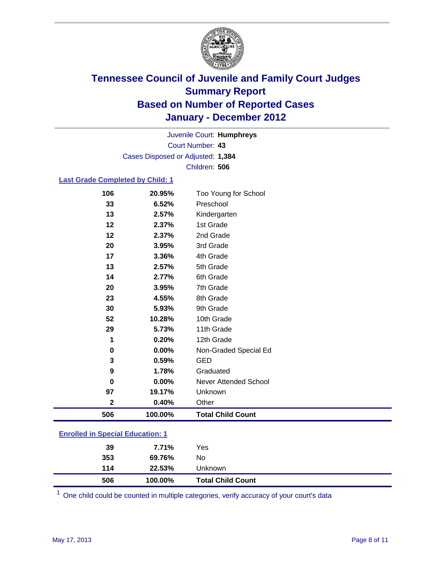

Court Number: **43** Juvenile Court: **Humphreys** Cases Disposed or Adjusted: **1,384** Children: **506**

### **Last Grade Completed by Child: 1**

| 106                                     | 20.95%  | Too Young for School     |  |
|-----------------------------------------|---------|--------------------------|--|
| 33                                      | 6.52%   | Preschool                |  |
| 13                                      | 2.57%   | Kindergarten             |  |
| 12                                      | 2.37%   | 1st Grade                |  |
| 12                                      | 2.37%   | 2nd Grade                |  |
| 20                                      | 3.95%   | 3rd Grade                |  |
| 17                                      | 3.36%   | 4th Grade                |  |
| 13                                      | 2.57%   | 5th Grade                |  |
| 14                                      | 2.77%   | 6th Grade                |  |
| 20                                      | 3.95%   | 7th Grade                |  |
| 23                                      | 4.55%   | 8th Grade                |  |
| 30                                      | 5.93%   | 9th Grade                |  |
| 52                                      | 10.28%  | 10th Grade               |  |
| 29                                      | 5.73%   | 11th Grade               |  |
| 1                                       | 0.20%   | 12th Grade               |  |
| 0                                       | 0.00%   | Non-Graded Special Ed    |  |
| 3                                       | 0.59%   | <b>GED</b>               |  |
| 9                                       | 1.78%   | Graduated                |  |
| 0                                       | 0.00%   | Never Attended School    |  |
| 97                                      | 19.17%  | Unknown                  |  |
| $\mathbf 2$                             | 0.40%   | Other                    |  |
| 506                                     | 100.00% | <b>Total Child Count</b> |  |
| <b>Enrolled in Special Education: 1</b> |         |                          |  |

One child could be counted in multiple categories, verify accuracy of your court's data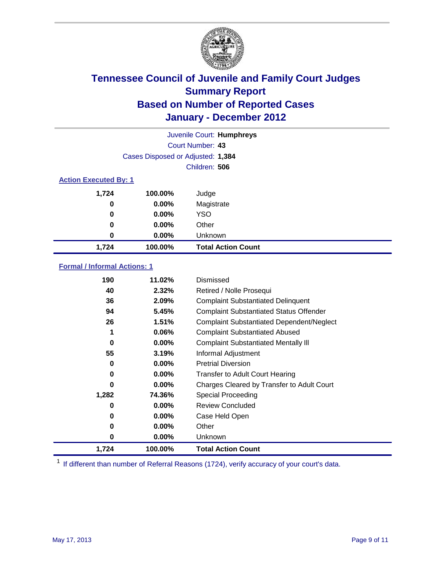

| Juvenile Court: Humphreys |                                   |                           |  |  |  |
|---------------------------|-----------------------------------|---------------------------|--|--|--|
|                           | Court Number: 43                  |                           |  |  |  |
|                           | Cases Disposed or Adjusted: 1,384 |                           |  |  |  |
|                           | Children: 506                     |                           |  |  |  |
|                           | <b>Action Executed By: 1</b>      |                           |  |  |  |
| 1,724                     | 100.00%                           | Judge                     |  |  |  |
| 0                         | $0.00\%$                          | Magistrate                |  |  |  |
| 0                         | $0.00\%$                          | <b>YSO</b>                |  |  |  |
| 0                         | $0.00\%$                          | Other                     |  |  |  |
| 0                         | 0.00%                             | Unknown                   |  |  |  |
| 1,724                     | 100.00%                           | <b>Total Action Count</b> |  |  |  |

### **Formal / Informal Actions: 1**

| 190   | 11.02%   | Dismissed                                        |
|-------|----------|--------------------------------------------------|
| 40    | 2.32%    | Retired / Nolle Prosequi                         |
| 36    | 2.09%    | <b>Complaint Substantiated Delinquent</b>        |
| 94    | 5.45%    | <b>Complaint Substantiated Status Offender</b>   |
| 26    | 1.51%    | <b>Complaint Substantiated Dependent/Neglect</b> |
| 1     | 0.06%    | <b>Complaint Substantiated Abused</b>            |
| 0     | $0.00\%$ | <b>Complaint Substantiated Mentally III</b>      |
| 55    | 3.19%    | Informal Adjustment                              |
| 0     | $0.00\%$ | <b>Pretrial Diversion</b>                        |
| 0     | $0.00\%$ | <b>Transfer to Adult Court Hearing</b>           |
| 0     | $0.00\%$ | Charges Cleared by Transfer to Adult Court       |
| 1,282 | 74.36%   | Special Proceeding                               |
| 0     | $0.00\%$ | <b>Review Concluded</b>                          |
| 0     | $0.00\%$ | Case Held Open                                   |
| 0     | $0.00\%$ | Other                                            |
| 0     | $0.00\%$ | Unknown                                          |
| 1,724 | 100.00%  | <b>Total Action Count</b>                        |

<sup>1</sup> If different than number of Referral Reasons (1724), verify accuracy of your court's data.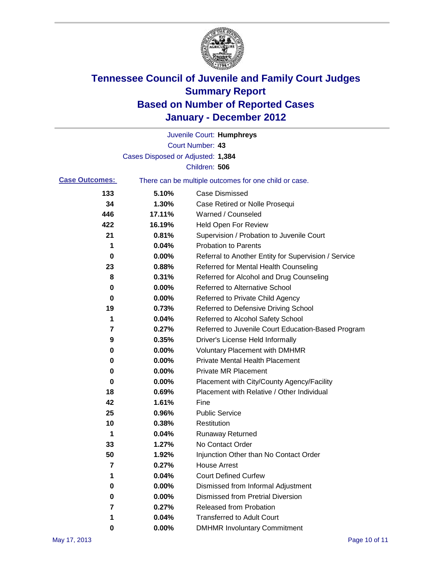

|                       |                                   | Juvenile Court: Humphreys                             |
|-----------------------|-----------------------------------|-------------------------------------------------------|
|                       |                                   | Court Number: 43                                      |
|                       | Cases Disposed or Adjusted: 1,384 |                                                       |
|                       |                                   | Children: 506                                         |
| <b>Case Outcomes:</b> |                                   | There can be multiple outcomes for one child or case. |
| 133                   | 5.10%                             | <b>Case Dismissed</b>                                 |
| 34                    | 1.30%                             | Case Retired or Nolle Prosequi                        |
| 446                   | 17.11%                            | Warned / Counseled                                    |
| 422                   | 16.19%                            | Held Open For Review                                  |
| 21                    | 0.81%                             | Supervision / Probation to Juvenile Court             |
| 1                     | 0.04%                             | <b>Probation to Parents</b>                           |
| 0                     | 0.00%                             | Referral to Another Entity for Supervision / Service  |
| 23                    | 0.88%                             | Referred for Mental Health Counseling                 |
| 8                     | 0.31%                             | Referred for Alcohol and Drug Counseling              |
| 0                     | 0.00%                             | <b>Referred to Alternative School</b>                 |
| 0                     | 0.00%                             | Referred to Private Child Agency                      |
| 19                    | 0.73%                             | Referred to Defensive Driving School                  |
| 1                     | 0.04%                             | Referred to Alcohol Safety School                     |
| 7                     | 0.27%                             | Referred to Juvenile Court Education-Based Program    |
| 9                     | 0.35%                             | Driver's License Held Informally                      |
| 0                     | 0.00%                             | <b>Voluntary Placement with DMHMR</b>                 |
| 0                     | 0.00%                             | <b>Private Mental Health Placement</b>                |
| 0                     | 0.00%                             | <b>Private MR Placement</b>                           |
| 0                     | 0.00%                             | Placement with City/County Agency/Facility            |
| 18                    | 0.69%                             | Placement with Relative / Other Individual            |
| 42                    | 1.61%                             | Fine                                                  |
| 25                    | 0.96%                             | <b>Public Service</b>                                 |
| 10                    | 0.38%                             | Restitution                                           |
| 1                     | 0.04%                             | <b>Runaway Returned</b>                               |
| 33                    | 1.27%                             | No Contact Order                                      |
| 50                    | 1.92%                             | Injunction Other than No Contact Order                |
| 7                     | 0.27%                             | <b>House Arrest</b>                                   |
| 1                     | 0.04%                             | <b>Court Defined Curfew</b>                           |
| 0                     | 0.00%                             | Dismissed from Informal Adjustment                    |
| 0                     | 0.00%                             | <b>Dismissed from Pretrial Diversion</b>              |
| 7                     | 0.27%                             | Released from Probation                               |
| 1                     | 0.04%                             | <b>Transferred to Adult Court</b>                     |
| 0                     | $0.00\%$                          | <b>DMHMR Involuntary Commitment</b>                   |